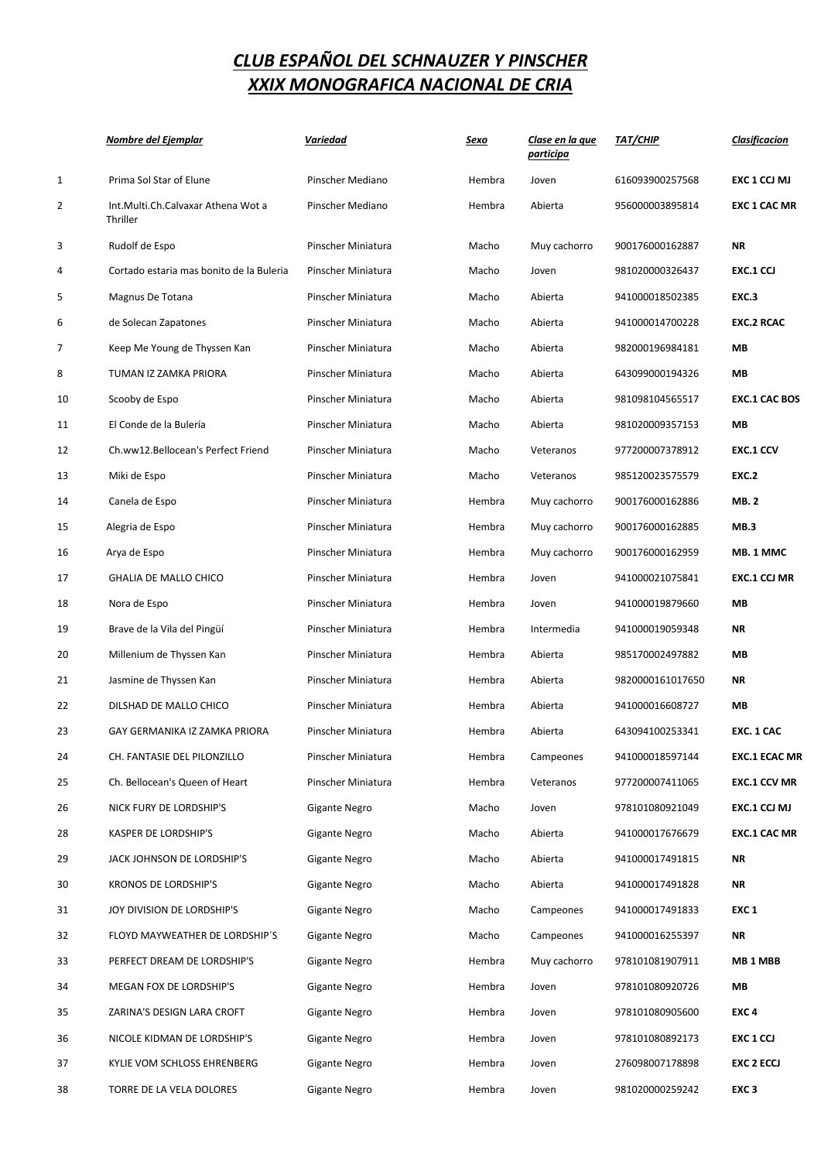|              | <u>Nombre del Ejemplar</u>                     | Variedad             | <u>Sexo</u> | Clase en la que<br>participa | <u>ТАТ/СНІР</u>  | <b>Clasificacion</b> |
|--------------|------------------------------------------------|----------------------|-------------|------------------------------|------------------|----------------------|
| $\mathbf{1}$ | Prima Sol Star of Elune                        | Pinscher Mediano     | Hembra      | Joven                        | 616093900257568  | EXC 1 CCJ MJ         |
| 2            | Int.Multi.Ch.Calvaxar Athena Wot a<br>Thriller | Pinscher Mediano     | Hembra      | Abierta                      | 956000003895814  | <b>EXC 1 CAC MR</b>  |
| 3            | Rudolf de Espo                                 | Pinscher Miniatura   | Macho       | Muy cachorro                 | 900176000162887  | <b>NR</b>            |
| 4            | Cortado estaria mas bonito de la Buleria       | Pinscher Miniatura   | Macho       | Joven                        | 981020000326437  | EXC.1 CCJ            |
| 5            | Magnus De Totana                               | Pinscher Miniatura   | Macho       | Abierta                      | 941000018502385  | EXC.3                |
| 6            | de Solecan Zapatones                           | Pinscher Miniatura   | Macho       | Abierta                      | 941000014700228  | <b>EXC.2 RCAC</b>    |
| 7            | Keep Me Young de Thyssen Kan                   | Pinscher Miniatura   | Macho       | Abierta                      | 982000196984181  | МB                   |
| 8            | TUMAN IZ ZAMKA PRIORA                          | Pinscher Miniatura   | Macho       | Abierta                      | 643099000194326  | МB                   |
| 10           | Scooby de Espo                                 | Pinscher Miniatura   | Macho       | Abierta                      | 981098104565517  | <b>EXC.1 CAC BOS</b> |
| 11           | El Conde de la Bulería                         | Pinscher Miniatura   | Macho       | Abierta                      | 981020009357153  | MВ                   |
| 12           | Ch.ww12.Bellocean's Perfect Friend             | Pinscher Miniatura   | Macho       | Veteranos                    | 977200007378912  | <b>EXC.1 CCV</b>     |
| 13           | Miki de Espo                                   | Pinscher Miniatura   | Macho       | Veteranos                    | 985120023575579  | <b>EXC.2</b>         |
| 14           | Canela de Espo                                 | Pinscher Miniatura   | Hembra      | Muy cachorro                 | 900176000162886  | <b>MB.2</b>          |
| 15           | Alegria de Espo                                | Pinscher Miniatura   | Hembra      | Muy cachorro                 | 900176000162885  | MB.3                 |
| 16           | Arya de Espo                                   | Pinscher Miniatura   | Hembra      | Muy cachorro                 | 900176000162959  | MB. 1 MMC            |
| 17           | <b>GHALIA DE MALLO CHICO</b>                   | Pinscher Miniatura   | Hembra      | Joven                        | 941000021075841  | <b>EXC.1 CCJ MR</b>  |
| 18           | Nora de Espo                                   | Pinscher Miniatura   | Hembra      | Joven                        | 941000019879660  | МB                   |
| 19           | Brave de la Vila del Pingüí                    | Pinscher Miniatura   | Hembra      | Intermedia                   | 941000019059348  | <b>NR</b>            |
| 20           | Millenium de Thyssen Kan                       | Pinscher Miniatura   | Hembra      | Abierta                      | 985170002497882  | МB                   |
| 21           | Jasmine de Thyssen Kan                         | Pinscher Miniatura   | Hembra      | Abierta                      | 9820000161017650 | <b>NR</b>            |
| 22           | DILSHAD DE MALLO CHICO                         | Pinscher Miniatura   | Hembra      | Abierta                      | 941000016608727  | MВ                   |
| 23           | GAY GERMANIKA IZ ZAMKA PRIORA                  | Pinscher Miniatura   | Hembra      | Abierta                      | 643094100253341  | EXC. 1 CAC           |
| 24           | CH. FANTASIE DEL PILONZILLO                    | Pinscher Miniatura   | Hembra      | Campeones                    | 941000018597144  | <b>EXC.1 ECAC MR</b> |
| 25           | Ch. Bellocean's Queen of Heart                 | Pinscher Miniatura   | Hembra      | Veteranos                    | 977200007411065  | <b>EXC.1 CCV MR</b>  |
| 26           | NICK FURY DE LORDSHIP'S                        | Gigante Negro        | Macho       | Joven                        | 978101080921049  | EXC.1 CCJ MJ         |
| 28           | KASPER DE LORDSHIP'S                           | Gigante Negro        | Macho       | Abierta                      | 941000017676679  | <b>EXC.1 CAC MR</b>  |
| 29           | JACK JOHNSON DE LORDSHIP'S                     | Gigante Negro        | Macho       | Abierta                      | 941000017491815  | NR                   |
| 30           | <b>KRONOS DE LORDSHIP'S</b>                    | <b>Gigante Negro</b> | Macho       | Abierta                      | 941000017491828  | NR                   |
| 31           | JOY DIVISION DE LORDSHIP'S                     | Gigante Negro        | Macho       | Campeones                    | 941000017491833  | EXC <sub>1</sub>     |
| 32           | FLOYD MAYWEATHER DE LORDSHIP'S                 | Gigante Negro        | Macho       | Campeones                    | 941000016255397  | NR                   |
| 33           | PERFECT DREAM DE LORDSHIP'S                    | Gigante Negro        | Hembra      | Muy cachorro                 | 978101081907911  | MB <sub>1</sub> MBB  |
| 34           | MEGAN FOX DE LORDSHIP'S                        | Gigante Negro        | Hembra      | Joven                        | 978101080920726  | MВ                   |
| 35           | ZARINA'S DESIGN LARA CROFT                     | Gigante Negro        | Hembra      | Joven                        | 978101080905600  | EXC <sub>4</sub>     |
| 36           | NICOLE KIDMAN DE LORDSHIP'S                    | Gigante Negro        | Hembra      | Joven                        | 978101080892173  | EXC 1 CCJ            |
| 37           | KYLIE VOM SCHLOSS EHRENBERG                    | Gigante Negro        | Hembra      | Joven                        | 276098007178898  | <b>EXC 2 ECCJ</b>    |
| 38           | TORRE DE LA VELA DOLORES                       | Gigante Negro        | Hembra      | Joven                        | 981020000259242  | EXC <sub>3</sub>     |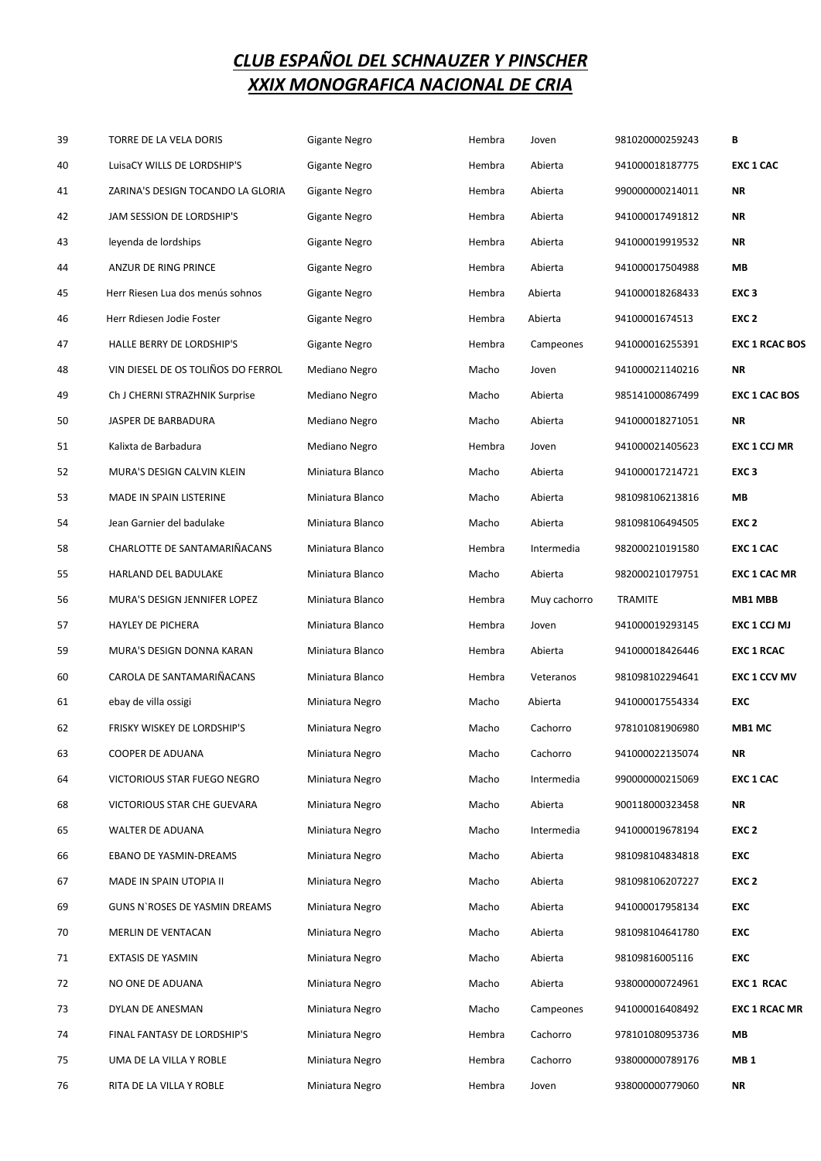| 39 | TORRE DE LA VELA DORIS             | <b>Gigante Negro</b> | Hembra | Joven        | 981020000259243 | В                     |
|----|------------------------------------|----------------------|--------|--------------|-----------------|-----------------------|
| 40 | LuisaCY WILLS DE LORDSHIP'S        | Gigante Negro        | Hembra | Abierta      | 941000018187775 | <b>EXC 1 CAC</b>      |
| 41 | ZARINA'S DESIGN TOCANDO LA GLORIA  | Gigante Negro        | Hembra | Abierta      | 990000000214011 | <b>NR</b>             |
| 42 | JAM SESSION DE LORDSHIP'S          | Gigante Negro        | Hembra | Abierta      | 941000017491812 | <b>NR</b>             |
| 43 | leyenda de lordships               | Gigante Negro        | Hembra | Abierta      | 941000019919532 | <b>NR</b>             |
| 44 | ANZUR DE RING PRINCE               | Gigante Negro        | Hembra | Abierta      | 941000017504988 | МB                    |
| 45 | Herr Riesen Lua dos menús sohnos   | Gigante Negro        | Hembra | Abierta      | 941000018268433 | EXC <sub>3</sub>      |
| 46 | Herr Rdiesen Jodie Foster          | Gigante Negro        | Hembra | Abierta      | 94100001674513  | EXC <sub>2</sub>      |
| 47 | HALLE BERRY DE LORDSHIP'S          | Gigante Negro        | Hembra | Campeones    | 941000016255391 | <b>EXC 1 RCAC BOS</b> |
| 48 | VIN DIESEL DE OS TOLIÑOS DO FERROL | Mediano Negro        | Macho  | Joven        | 941000021140216 | <b>NR</b>             |
| 49 | Ch J CHERNI STRAZHNIK Surprise     | Mediano Negro        | Macho  | Abierta      | 985141000867499 | <b>EXC 1 CAC BOS</b>  |
| 50 | JASPER DE BARBADURA                | Mediano Negro        | Macho  | Abierta      | 941000018271051 | <b>NR</b>             |
| 51 | Kalixta de Barbadura               | Mediano Negro        | Hembra | Joven        | 941000021405623 | <b>EXC 1 CCJ MR</b>   |
| 52 | MURA'S DESIGN CALVIN KLEIN         | Miniatura Blanco     | Macho  | Abierta      | 941000017214721 | EXC <sub>3</sub>      |
| 53 | MADE IN SPAIN LISTERINE            | Miniatura Blanco     | Macho  | Abierta      | 981098106213816 | MB                    |
| 54 | Jean Garnier del badulake          | Miniatura Blanco     | Macho  | Abierta      | 981098106494505 | EXC <sub>2</sub>      |
| 58 | CHARLOTTE DE SANTAMARIÑACANS       | Miniatura Blanco     | Hembra | Intermedia   | 982000210191580 | <b>EXC 1 CAC</b>      |
| 55 | HARLAND DEL BADULAKE               | Miniatura Blanco     | Macho  | Abierta      | 982000210179751 | <b>EXC 1 CAC MR</b>   |
| 56 | MURA'S DESIGN JENNIFER LOPEZ       | Miniatura Blanco     | Hembra | Muy cachorro | <b>TRAMITE</b>  | MB1 MBB               |
| 57 | HAYLEY DE PICHERA                  | Miniatura Blanco     | Hembra | Joven        | 941000019293145 | EXC 1 CCJ MJ          |
| 59 | MURA'S DESIGN DONNA KARAN          | Miniatura Blanco     | Hembra | Abierta      | 941000018426446 | <b>EXC 1 RCAC</b>     |
| 60 | CAROLA DE SANTAMARIÑACANS          | Miniatura Blanco     | Hembra | Veteranos    | 981098102294641 | <b>EXC 1 CCV MV</b>   |
| 61 | ebay de villa ossigi               | Miniatura Negro      | Macho  | Abierta      | 941000017554334 | <b>EXC</b>            |
| 62 | FRISKY WISKEY DE LORDSHIP'S        | Miniatura Negro      | Macho  | Cachorro     | 978101081906980 | MB1 MC                |
| 63 | COOPER DE ADUANA                   | Miniatura Negro      | Macho  | Cachorro     | 941000022135074 | ΝR                    |
| 64 | VICTORIOUS STAR FUEGO NEGRO        | Miniatura Negro      | Macho  | Intermedia   | 990000000215069 | <b>EXC 1 CAC</b>      |
| 68 | VICTORIOUS STAR CHE GUEVARA        | Miniatura Negro      | Macho  | Abierta      | 900118000323458 | <b>NR</b>             |
| 65 | WALTER DE ADUANA                   | Miniatura Negro      | Macho  | Intermedia   | 941000019678194 | EXC <sub>2</sub>      |
| 66 | EBANO DE YASMIN-DREAMS             | Miniatura Negro      | Macho  | Abierta      | 981098104834818 | <b>EXC</b>            |
| 67 | MADE IN SPAIN UTOPIA II            | Miniatura Negro      | Macho  | Abierta      | 981098106207227 | EXC <sub>2</sub>      |
| 69 | GUNS N'ROSES DE YASMIN DREAMS      | Miniatura Negro      | Macho  | Abierta      | 941000017958134 | <b>EXC</b>            |
| 70 | MERLIN DE VENTACAN                 | Miniatura Negro      | Macho  | Abierta      | 981098104641780 | <b>EXC</b>            |
| 71 | EXTASIS DE YASMIN                  | Miniatura Negro      | Macho  | Abierta      | 98109816005116  | <b>EXC</b>            |
| 72 | NO ONE DE ADUANA                   | Miniatura Negro      | Macho  | Abierta      | 938000000724961 | <b>EXC 1 RCAC</b>     |
| 73 | DYLAN DE ANESMAN                   | Miniatura Negro      | Macho  | Campeones    | 941000016408492 | <b>EXC 1 RCAC MR</b>  |
| 74 | FINAL FANTASY DE LORDSHIP'S        | Miniatura Negro      | Hembra | Cachorro     | 978101080953736 | МB                    |
| 75 | UMA DE LA VILLA Y ROBLE            | Miniatura Negro      | Hembra | Cachorro     | 938000000789176 | <b>MB1</b>            |
| 76 | RITA DE LA VILLA Y ROBLE           | Miniatura Negro      | Hembra | Joven        | 938000000779060 | <b>NR</b>             |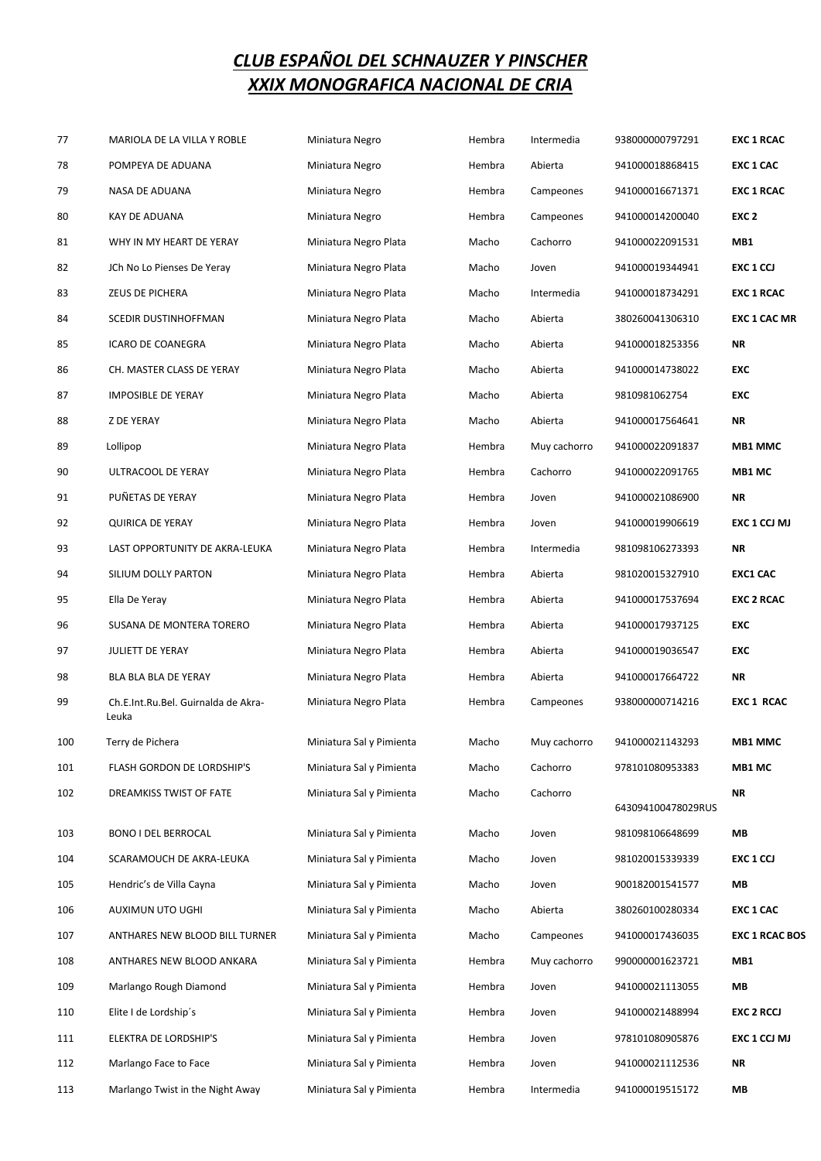| 77  | MARIOLA DE LA VILLA Y ROBLE                  | Miniatura Negro          | Hembra | Intermedia   | 938000000797291    | <b>EXC 1 RCAC</b>     |
|-----|----------------------------------------------|--------------------------|--------|--------------|--------------------|-----------------------|
| 78  | POMPEYA DE ADUANA                            | Miniatura Negro          | Hembra | Abierta      | 941000018868415    | <b>EXC 1 CAC</b>      |
| 79  | NASA DE ADUANA                               | Miniatura Negro          | Hembra | Campeones    | 941000016671371    | <b>EXC 1 RCAC</b>     |
| 80  | KAY DE ADUANA                                | Miniatura Negro          | Hembra | Campeones    | 941000014200040    | EXC <sub>2</sub>      |
| 81  | WHY IN MY HEART DE YERAY                     | Miniatura Negro Plata    | Macho  | Cachorro     | 941000022091531    | MB1                   |
| 82  | JCh No Lo Pienses De Yeray                   | Miniatura Negro Plata    | Macho  | Joven        | 941000019344941    | EXC 1 CCJ             |
| 83  | ZEUS DE PICHERA                              | Miniatura Negro Plata    | Macho  | Intermedia   | 941000018734291    | <b>EXC 1 RCAC</b>     |
| 84  | SCEDIR DUSTINHOFFMAN                         | Miniatura Negro Plata    | Macho  | Abierta      | 380260041306310    | <b>EXC 1 CAC MR</b>   |
| 85  | ICARO DE COANEGRA                            | Miniatura Negro Plata    | Macho  | Abierta      | 941000018253356    | ΝR                    |
| 86  | CH. MASTER CLASS DE YERAY                    | Miniatura Negro Plata    | Macho  | Abierta      | 941000014738022    | <b>EXC</b>            |
| 87  | <b>IMPOSIBLE DE YERAY</b>                    | Miniatura Negro Plata    | Macho  | Abierta      | 9810981062754      | EXC                   |
| 88  | <b>Z DE YERAY</b>                            | Miniatura Negro Plata    | Macho  | Abierta      | 941000017564641    | ΝR                    |
| 89  | Lollipop                                     | Miniatura Negro Plata    | Hembra | Muy cachorro | 941000022091837    | <b>MB1 MMC</b>        |
| 90  | ULTRACOOL DE YERAY                           | Miniatura Negro Plata    | Hembra | Cachorro     | 941000022091765    | MB1 MC                |
| 91  | PUÑETAS DE YERAY                             | Miniatura Negro Plata    | Hembra | Joven        | 941000021086900    | ΝR                    |
| 92  | <b>QUIRICA DE YERAY</b>                      | Miniatura Negro Plata    | Hembra | Joven        | 941000019906619    | EXC 1 CCJ MJ          |
| 93  | LAST OPPORTUNITY DE AKRA-LEUKA               | Miniatura Negro Plata    | Hembra | Intermedia   | 981098106273393    | ΝR                    |
| 94  | SILIUM DOLLY PARTON                          | Miniatura Negro Plata    | Hembra | Abierta      | 981020015327910    | <b>EXC1 CAC</b>       |
| 95  | Ella De Yeray                                | Miniatura Negro Plata    | Hembra | Abierta      | 941000017537694    | <b>EXC 2 RCAC</b>     |
| 96  | SUSANA DE MONTERA TORERO                     | Miniatura Negro Plata    | Hembra | Abierta      | 941000017937125    | EXC                   |
| 97  | JULIETT DE YERAY                             | Miniatura Negro Plata    | Hembra | Abierta      | 941000019036547    | <b>EXC</b>            |
| 98  | BLA BLA BLA DE YERAY                         | Miniatura Negro Plata    | Hembra | Abierta      | 941000017664722    | NR                    |
| 99  | Ch.E.Int.Ru.Bel. Guirnalda de Akra-<br>Leuka | Miniatura Negro Plata    | Hembra | Campeones    | 938000000714216    | <b>EXC 1 RCAC</b>     |
| 100 | Terry de Pichera                             | Miniatura Sal y Pimienta | Macho  | Muy cachorro | 941000021143293    | <b>MB1 MMC</b>        |
| 101 | FLASH GORDON DE LORDSHIP'S                   | Miniatura Sal y Pimienta | Macho  | Cachorro     | 978101080953383    | MB1 MC                |
| 102 | DREAMKISS TWIST OF FATE                      | Miniatura Sal y Pimienta | Macho  | Cachorro     | 643094100478029RUS | NR                    |
| 103 | <b>BONO I DEL BERROCAL</b>                   | Miniatura Sal y Pimienta | Macho  | Joven        | 981098106648699    | MВ                    |
| 104 | SCARAMOUCH DE AKRA-LEUKA                     | Miniatura Sal y Pimienta | Macho  | Joven        | 981020015339339    | EXC 1 CCJ             |
| 105 | Hendric's de Villa Cayna                     | Miniatura Sal y Pimienta | Macho  | Joven        | 900182001541577    | МB                    |
| 106 | AUXIMUN UTO UGHI                             | Miniatura Sal y Pimienta | Macho  | Abierta      | 380260100280334    | <b>EXC 1 CAC</b>      |
| 107 | ANTHARES NEW BLOOD BILL TURNER               | Miniatura Sal y Pimienta | Macho  | Campeones    | 941000017436035    | <b>EXC 1 RCAC BOS</b> |
| 108 | ANTHARES NEW BLOOD ANKARA                    | Miniatura Sal y Pimienta | Hembra | Muy cachorro | 990000001623721    | MB1                   |
| 109 | Marlango Rough Diamond                       | Miniatura Sal y Pimienta | Hembra | Joven        | 941000021113055    | MВ                    |
| 110 | Elite I de Lordship's                        | Miniatura Sal y Pimienta | Hembra | Joven        | 941000021488994    | <b>EXC 2 RCCJ</b>     |
| 111 | ELEKTRA DE LORDSHIP'S                        | Miniatura Sal y Pimienta | Hembra | Joven        | 978101080905876    | EXC 1 CCJ MJ          |
| 112 | Marlango Face to Face                        | Miniatura Sal y Pimienta | Hembra | Joven        | 941000021112536    | ΝR                    |
| 113 | Marlango Twist in the Night Away             | Miniatura Sal y Pimienta | Hembra | Intermedia   | 941000019515172    | МB                    |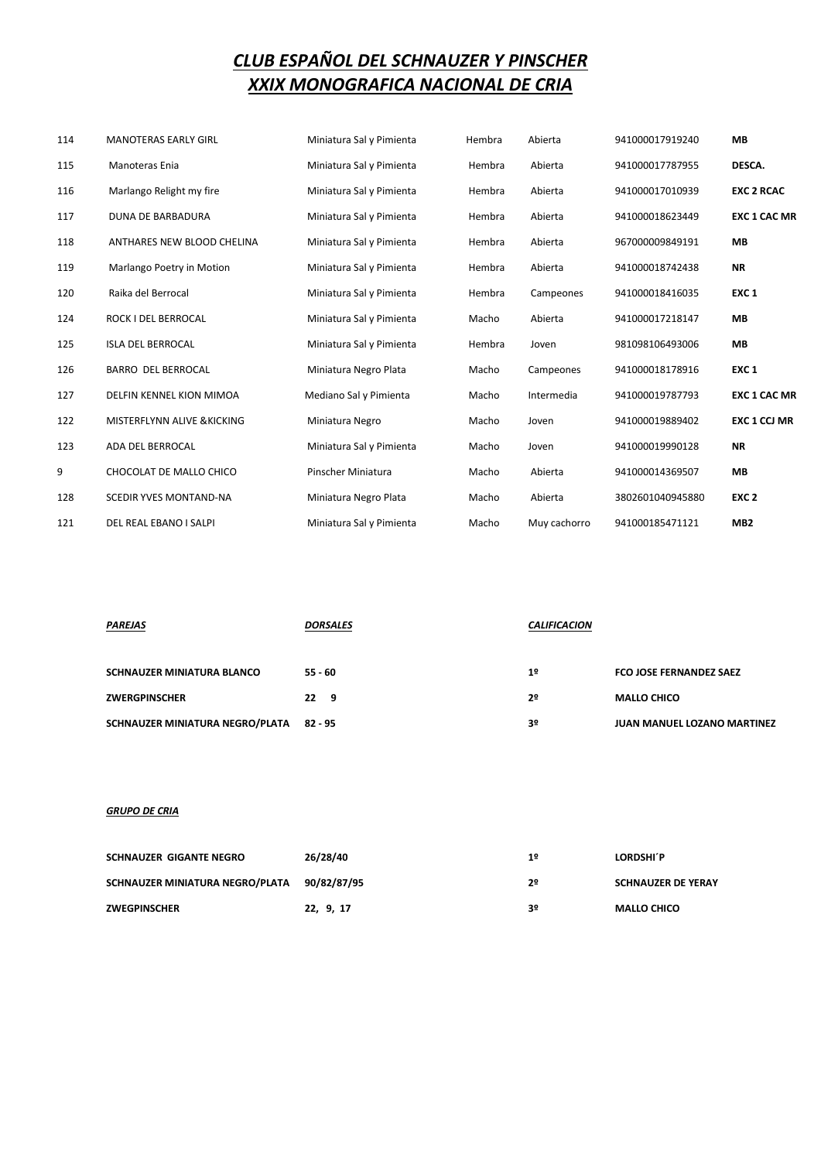| 114 | <b>MANOTERAS EARLY GIRL</b> | Miniatura Sal y Pimienta | Hembra | Abierta      | 941000017919240  | <b>MB</b>           |
|-----|-----------------------------|--------------------------|--------|--------------|------------------|---------------------|
| 115 | Manoteras Enia              | Miniatura Sal y Pimienta | Hembra | Abierta      | 941000017787955  | DESCA.              |
| 116 | Marlango Relight my fire    | Miniatura Sal y Pimienta | Hembra | Abierta      | 941000017010939  | <b>EXC 2 RCAC</b>   |
| 117 | <b>DUNA DE BARBADURA</b>    | Miniatura Sal y Pimienta | Hembra | Abierta      | 941000018623449  | <b>EXC 1 CAC MR</b> |
| 118 | ANTHARES NEW BLOOD CHELINA  | Miniatura Sal y Pimienta | Hembra | Abierta      | 967000009849191  | <b>MB</b>           |
| 119 | Marlango Poetry in Motion   | Miniatura Sal y Pimienta | Hembra | Abierta      | 941000018742438  | <b>NR</b>           |
| 120 | Raika del Berrocal          | Miniatura Sal y Pimienta | Hembra | Campeones    | 941000018416035  | EXC <sub>1</sub>    |
| 124 | ROCK I DEL BERROCAL         | Miniatura Sal y Pimienta | Macho  | Abierta      | 941000017218147  | <b>MB</b>           |
| 125 | <b>ISLA DEL BERROCAL</b>    | Miniatura Sal y Pimienta | Hembra | Joven        | 981098106493006  | <b>MB</b>           |
| 126 | <b>BARRO DEL BERROCAL</b>   | Miniatura Negro Plata    | Macho  | Campeones    | 941000018178916  | EXC <sub>1</sub>    |
| 127 | DELFIN KENNEL KION MIMOA    | Mediano Sal y Pimienta   | Macho  | Intermedia   | 941000019787793  | <b>EXC 1 CAC MR</b> |
| 122 | MISTERFLYNN ALIVE & KICKING | Miniatura Negro          | Macho  | Joven        | 941000019889402  | EXC 1 CCJ MR        |
| 123 | ADA DEL BERROCAL            | Miniatura Sal y Pimienta | Macho  | Joven        | 941000019990128  | <b>NR</b>           |
| 9   | CHOCOLAT DE MALLO CHICO     | Pinscher Miniatura       | Macho  | Abierta      | 941000014369507  | MB                  |
| 128 | SCEDIR YVES MONTAND-NA      | Miniatura Negro Plata    | Macho  | Abierta      | 3802601040945880 | EXC <sub>2</sub>    |
| 121 | DEL REAL EBANO I SALPI      | Miniatura Sal y Pimienta | Macho  | Muy cachorro | 941000185471121  | MB <sub>2</sub>     |

| <b>PAREJAS</b>                    | <b>DORSALES</b> | <b>CALIFICACION</b> |                                    |
|-----------------------------------|-----------------|---------------------|------------------------------------|
| <b>SCHNAUZER MINIATURA BLANCO</b> | $55 - 60$       | 1 <sup>°</sup>      | <b>FCO JOSE FERNANDEZ SAEZ</b>     |
| <b>ZWERGPINSCHER</b>              | $22 \t9$        | 2º                  | <b>MALLO CHICO</b>                 |
| SCHNAUZER MINIATURA NEGRO/PLATA   | 82 - 95         | 3º                  | <b>JUAN MANUEL LOZANO MARTINEZ</b> |

#### *GRUPO DE CRIA*

| SCHNAUZER GIGANTE NEGRO         | 26/28/40    | 1º | LORDSHI'P                 |
|---------------------------------|-------------|----|---------------------------|
| SCHNAUZER MINIATURA NEGRO/PLATA | 90/82/87/95 | 2º | <b>SCHNAUZER DE YERAY</b> |
| <b>ZWEGPINSCHER</b>             | 22, 9, 17   | 3º | <b>MALLO CHICO</b>        |